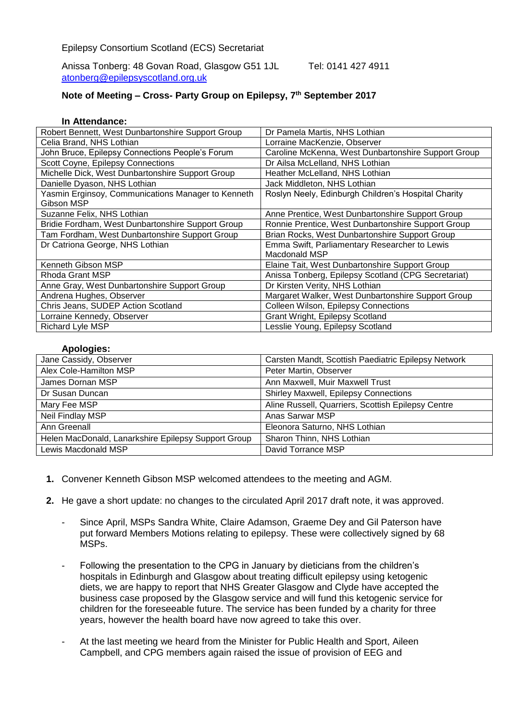Anissa Tonberg: 48 Govan Road, Glasgow G51 1JL Tel: 0141 427 4911 [atonberg@epilepsyscotland.org.uk](mailto:atonberg@epilepsyscotland.org.uk)

## **Note of Meeting – Cross- Party Group on Epilepsy, 7th September 2017**

## **In Attendance:**

| Robert Bennett, West Dunbartonshire Support Group  | Dr Pamela Martis, NHS Lothian                       |
|----------------------------------------------------|-----------------------------------------------------|
| Celia Brand, NHS Lothian                           | Lorraine MacKenzie, Observer                        |
| John Bruce, Epilepsy Connections People's Forum    | Caroline McKenna, West Dunbartonshire Support Group |
| Scott Coyne, Epilepsy Connections                  | Dr Ailsa McLelland, NHS Lothian                     |
| Michelle Dick, West Dunbartonshire Support Group   | Heather McLelland, NHS Lothian                      |
| Danielle Dyason, NHS Lothian                       | Jack Middleton, NHS Lothian                         |
| Yasmin Erginsoy, Communications Manager to Kenneth | Roslyn Neely, Edinburgh Children's Hospital Charity |
| Gibson MSP                                         |                                                     |
| Suzanne Felix, NHS Lothian                         | Anne Prentice, West Dunbartonshire Support Group    |
| Bridie Fordham, West Dunbartonshire Support Group  | Ronnie Prentice, West Dunbartonshire Support Group  |
| Tam Fordham, West Dunbartonshire Support Group     | Brian Rocks, West Dunbartonshire Support Group      |
| Dr Catriona George, NHS Lothian                    | Emma Swift, Parliamentary Researcher to Lewis       |
|                                                    | Macdonald MSP                                       |
| Kenneth Gibson MSP                                 | Elaine Tait, West Dunbartonshire Support Group      |
| Rhoda Grant MSP                                    | Anissa Tonberg, Epilepsy Scotland (CPG Secretariat) |
| Anne Gray, West Dunbartonshire Support Group       | Dr Kirsten Verity, NHS Lothian                      |
| Andrena Hughes, Observer                           | Margaret Walker, West Dunbartonshire Support Group  |
| Chris Jeans, SUDEP Action Scotland                 | Colleen Wilson, Epilepsy Connections                |
| Lorraine Kennedy, Observer                         | Grant Wright, Epilepsy Scotland                     |
| <b>Richard Lyle MSP</b>                            | Lesslie Young, Epilepsy Scotland                    |

## **Apologies:**

| Jane Cassidy, Observer                              | Carsten Mandt, Scottish Paediatric Epilepsy Network |
|-----------------------------------------------------|-----------------------------------------------------|
| Alex Cole-Hamilton MSP                              | Peter Martin, Observer                              |
| James Dornan MSP                                    | Ann Maxwell, Muir Maxwell Trust                     |
| Dr Susan Duncan                                     | Shirley Maxwell, Epilepsy Connections               |
| Mary Fee MSP                                        | Aline Russell, Quarriers, Scottish Epilepsy Centre  |
| Neil Findlay MSP                                    | Anas Sarwar MSP                                     |
| Ann Greenall                                        | Eleonora Saturno, NHS Lothian                       |
| Helen MacDonald, Lanarkshire Epilepsy Support Group | Sharon Thinn, NHS Lothian                           |
| Lewis Macdonald MSP                                 | David Torrance MSP                                  |

- **1.** Convener Kenneth Gibson MSP welcomed attendees to the meeting and AGM.
- **2.** He gave a short update: no changes to the circulated April 2017 draft note, it was approved.
	- Since April, MSPs Sandra White, Claire Adamson, Graeme Dey and Gil Paterson have put forward Members Motions relating to epilepsy. These were collectively signed by 68 MSPs.
	- Following the presentation to the CPG in January by dieticians from the children's hospitals in Edinburgh and Glasgow about treating difficult epilepsy using ketogenic diets, we are happy to report that NHS Greater Glasgow and Clyde have accepted the business case proposed by the Glasgow service and will fund this ketogenic service for children for the foreseeable future. The service has been funded by a charity for three years, however the health board have now agreed to take this over.
	- At the last meeting we heard from the Minister for Public Health and Sport, Aileen Campbell, and CPG members again raised the issue of provision of EEG and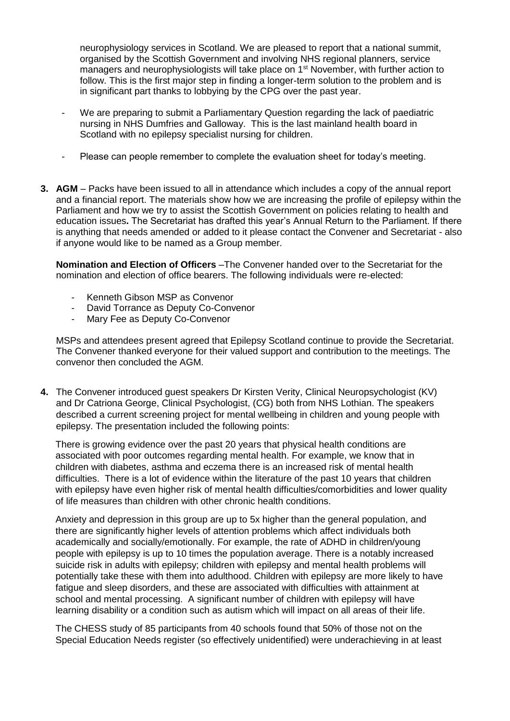neurophysiology services in Scotland. We are pleased to report that a national summit, organised by the Scottish Government and involving NHS regional planners, service managers and neurophysiologists will take place on 1<sup>st</sup> November, with further action to follow. This is the first major step in finding a longer-term solution to the problem and is in significant part thanks to lobbying by the CPG over the past year.

- We are preparing to submit a Parliamentary Question regarding the lack of paediatric nursing in NHS Dumfries and Galloway. This is the last mainland health board in Scotland with no epilepsy specialist nursing for children.
- Please can people remember to complete the evaluation sheet for today's meeting.
- **3. AGM** Packs have been issued to all in attendance which includes a copy of the annual report and a financial report. The materials show how we are increasing the profile of epilepsy within the Parliament and how we try to assist the Scottish Government on policies relating to health and education issues**.** The Secretariat has drafted this year's Annual Return to the Parliament. If there is anything that needs amended or added to it please contact the Convener and Secretariat - also if anyone would like to be named as a Group member.

**Nomination and Election of Officers** –The Convener handed over to the Secretariat for the nomination and election of office bearers. The following individuals were re-elected:

- Kenneth Gibson MSP as Convenor
- David Torrance as Deputy Co-Convenor
- Mary Fee as Deputy Co-Convenor

MSPs and attendees present agreed that Epilepsy Scotland continue to provide the Secretariat. The Convener thanked everyone for their valued support and contribution to the meetings. The convenor then concluded the AGM.

**4.** The Convener introduced guest speakers Dr Kirsten Verity, Clinical Neuropsychologist (KV) and Dr Catriona George, Clinical Psychologist, (CG) both from NHS Lothian. The speakers described a current screening project for mental wellbeing in children and young people with epilepsy. The presentation included the following points:

There is growing evidence over the past 20 years that physical health conditions are associated with poor outcomes regarding mental health. For example, we know that in children with diabetes, asthma and eczema there is an increased risk of mental health difficulties. There is a lot of evidence within the literature of the past 10 years that children with epilepsy have even higher risk of mental health difficulties/comorbidities and lower quality of life measures than children with other chronic health conditions.

Anxiety and depression in this group are up to 5x higher than the general population, and there are significantly higher levels of attention problems which affect individuals both academically and socially/emotionally. For example, the rate of ADHD in children/young people with epilepsy is up to 10 times the population average. There is a notably increased suicide risk in adults with epilepsy; children with epilepsy and mental health problems will potentially take these with them into adulthood. Children with epilepsy are more likely to have fatigue and sleep disorders, and these are associated with difficulties with attainment at school and mental processing. A significant number of children with epilepsy will have learning disability or a condition such as autism which will impact on all areas of their life.

The CHESS study of 85 participants from 40 schools found that 50% of those not on the Special Education Needs register (so effectively unidentified) were underachieving in at least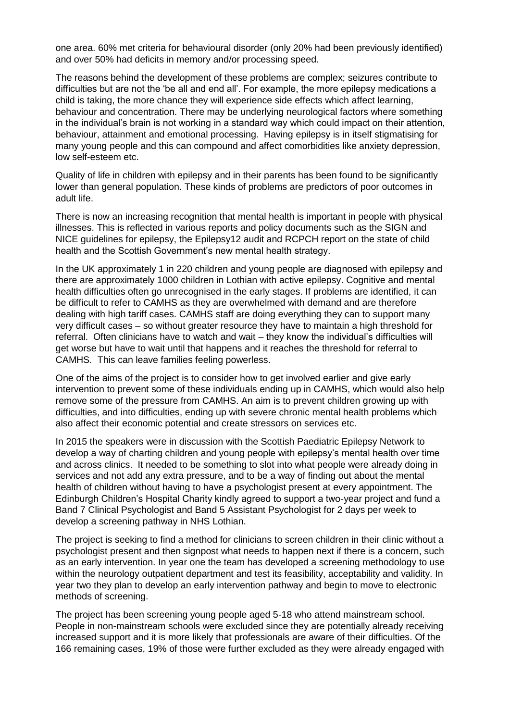one area. 60% met criteria for behavioural disorder (only 20% had been previously identified) and over 50% had deficits in memory and/or processing speed.

The reasons behind the development of these problems are complex; seizures contribute to difficulties but are not the 'be all and end all'. For example, the more epilepsy medications a child is taking, the more chance they will experience side effects which affect learning, behaviour and concentration. There may be underlying neurological factors where something in the individual's brain is not working in a standard way which could impact on their attention, behaviour, attainment and emotional processing. Having epilepsy is in itself stigmatising for many young people and this can compound and affect comorbidities like anxiety depression, low self-esteem etc.

Quality of life in children with epilepsy and in their parents has been found to be significantly lower than general population. These kinds of problems are predictors of poor outcomes in adult life.

There is now an increasing recognition that mental health is important in people with physical illnesses. This is reflected in various reports and policy documents such as the SIGN and NICE guidelines for epilepsy, the Epilepsy12 audit and RCPCH report on the state of child health and the Scottish Government's new mental health strategy.

In the UK approximately 1 in 220 children and young people are diagnosed with epilepsy and there are approximately 1000 children in Lothian with active epilepsy. Cognitive and mental health difficulties often go unrecognised in the early stages. If problems are identified, it can be difficult to refer to CAMHS as they are overwhelmed with demand and are therefore dealing with high tariff cases. CAMHS staff are doing everything they can to support many very difficult cases – so without greater resource they have to maintain a high threshold for referral. Often clinicians have to watch and wait – they know the individual's difficulties will get worse but have to wait until that happens and it reaches the threshold for referral to CAMHS. This can leave families feeling powerless.

One of the aims of the project is to consider how to get involved earlier and give early intervention to prevent some of these individuals ending up in CAMHS, which would also help remove some of the pressure from CAMHS. An aim is to prevent children growing up with difficulties, and into difficulties, ending up with severe chronic mental health problems which also affect their economic potential and create stressors on services etc.

In 2015 the speakers were in discussion with the Scottish Paediatric Epilepsy Network to develop a way of charting children and young people with epilepsy's mental health over time and across clinics. It needed to be something to slot into what people were already doing in services and not add any extra pressure, and to be a way of finding out about the mental health of children without having to have a psychologist present at every appointment. The Edinburgh Children's Hospital Charity kindly agreed to support a two-year project and fund a Band 7 Clinical Psychologist and Band 5 Assistant Psychologist for 2 days per week to develop a screening pathway in NHS Lothian.

The project is seeking to find a method for clinicians to screen children in their clinic without a psychologist present and then signpost what needs to happen next if there is a concern, such as an early intervention. In year one the team has developed a screening methodology to use within the neurology outpatient department and test its feasibility, acceptability and validity. In year two they plan to develop an early intervention pathway and begin to move to electronic methods of screening.

The project has been screening young people aged 5-18 who attend mainstream school. People in non-mainstream schools were excluded since they are potentially already receiving increased support and it is more likely that professionals are aware of their difficulties. Of the 166 remaining cases, 19% of those were further excluded as they were already engaged with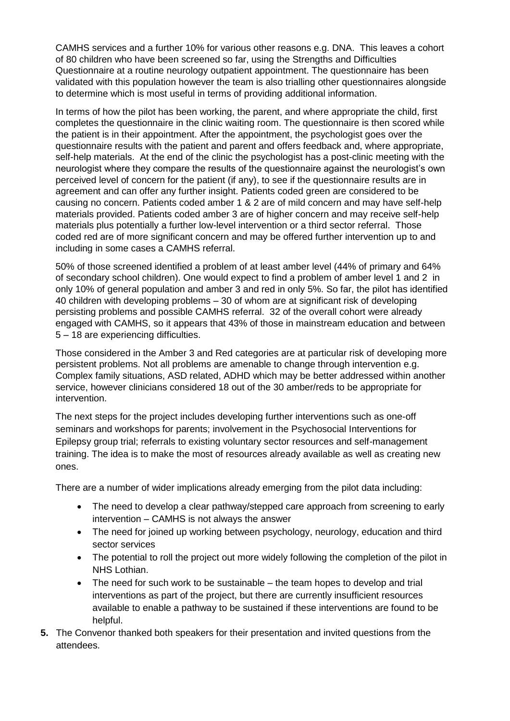CAMHS services and a further 10% for various other reasons e.g. DNA. This leaves a cohort of 80 children who have been screened so far, using the Strengths and Difficulties Questionnaire at a routine neurology outpatient appointment. The questionnaire has been validated with this population however the team is also trialling other questionnaires alongside to determine which is most useful in terms of providing additional information.

In terms of how the pilot has been working, the parent, and where appropriate the child, first completes the questionnaire in the clinic waiting room. The questionnaire is then scored while the patient is in their appointment. After the appointment, the psychologist goes over the questionnaire results with the patient and parent and offers feedback and, where appropriate, self-help materials. At the end of the clinic the psychologist has a post-clinic meeting with the neurologist where they compare the results of the questionnaire against the neurologist's own perceived level of concern for the patient (if any), to see if the questionnaire results are in agreement and can offer any further insight. Patients coded green are considered to be causing no concern. Patients coded amber 1 & 2 are of mild concern and may have self-help materials provided. Patients coded amber 3 are of higher concern and may receive self-help materials plus potentially a further low-level intervention or a third sector referral. Those coded red are of more significant concern and may be offered further intervention up to and including in some cases a CAMHS referral.

50% of those screened identified a problem of at least amber level (44% of primary and 64% of secondary school children). One would expect to find a problem of amber level 1 and 2 in only 10% of general population and amber 3 and red in only 5%. So far, the pilot has identified 40 children with developing problems – 30 of whom are at significant risk of developing persisting problems and possible CAMHS referral. 32 of the overall cohort were already engaged with CAMHS, so it appears that 43% of those in mainstream education and between 5 – 18 are experiencing difficulties.

Those considered in the Amber 3 and Red categories are at particular risk of developing more persistent problems. Not all problems are amenable to change through intervention e.g. Complex family situations, ASD related, ADHD which may be better addressed within another service, however clinicians considered 18 out of the 30 amber/reds to be appropriate for intervention.

The next steps for the project includes developing further interventions such as one-off seminars and workshops for parents; involvement in the Psychosocial Interventions for Epilepsy group trial; referrals to existing voluntary sector resources and self-management training. The idea is to make the most of resources already available as well as creating new ones.

There are a number of wider implications already emerging from the pilot data including:

- The need to develop a clear pathway/stepped care approach from screening to early intervention – CAMHS is not always the answer
- The need for joined up working between psychology, neurology, education and third sector services
- The potential to roll the project out more widely following the completion of the pilot in NHS Lothian.
- The need for such work to be sustainable the team hopes to develop and trial interventions as part of the project, but there are currently insufficient resources available to enable a pathway to be sustained if these interventions are found to be helpful.
- **5.** The Convenor thanked both speakers for their presentation and invited questions from the attendees.